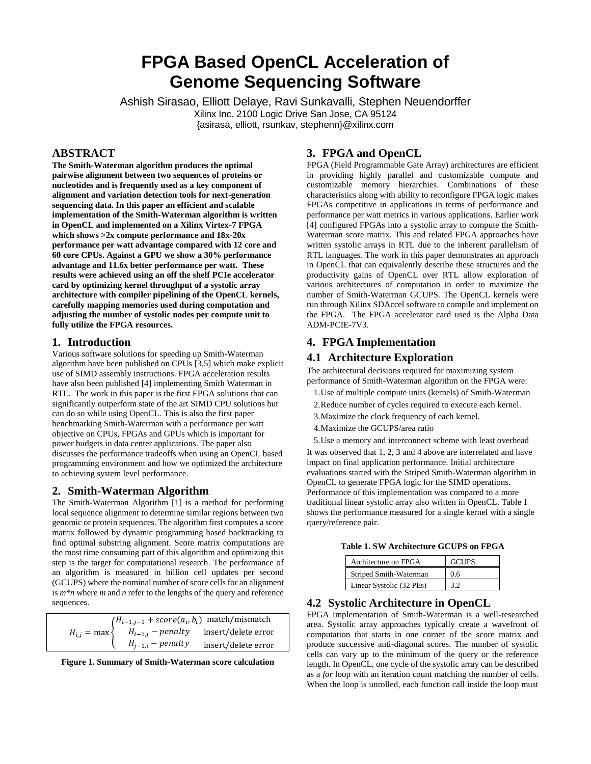# **FPGA Based OpenCL Acceleration of Genome Sequencing Software**

Ashish Sirasao, Elliott Delaye, Ravi Sunkavalli, Stephen Neuendorffer Xilinx Inc. 2100 Logic Drive San Jose, CA 95124 {asirasa, elliott, rsunkav, stephenn}@xilinx.com

# **ABSTRACT**

**The Smith-Waterman algorithm produces the optimal pairwise alignment between two sequences of proteins or nucleotides and is frequently used as a key component of alignment and variation detection tools for next-generation sequencing data. In this paper an efficient and scalable implementation of the Smith-Waterman algorithm is written in OpenCL and implemented on a Xilinx Virtex-7 FPGA which shows >2x compute performance and 18x-20x performance per watt advantage compared with 12 core and 60 core CPUs. Against a GPU we show a 30% performance advantage and 11.6x better performance per watt. These results were achieved using an off the shelf PCIe accelerator card by optimizing kernel throughput of a systolic array architecture with compiler pipelining of the OpenCL kernels, carefully mapping memories used during computation and adjusting the number of systolic nodes per compute unit to fully utilize the FPGA resources.**

## **1. Introduction**

Various software solutions for speeding up Smith-Waterman algorithm have been published on CPUs [3,5] which make explicit use of SIMD assembly instructions. FPGA acceleration results have also been published [4] implementing Smith Waterman in RTL. The work in this paper is the first FPGA solutions that can significantly outperform state of the art SIMD CPU solutions but can do so while using OpenCL. This is also the first paper benchmarking Smith-Waterman with a performance per watt objective on CPUs, FPGAs and GPUs which is important for power budgets in data center applications. The paper also discusses the performance tradeoffs when using an OpenCL based programming environment and how we optimized the architecture to achieving system level performance.

## **2. Smith-Waterman Algorithm**

The Smith-Waterman Algorithm [1] is a method for performing local sequence alignment to determine similar regions between two genomic or protein sequences. The algorithm first computes a score matrix followed by dynamic programming based backtracking to find optimal substring alignment. Score matrix computations are the most time consuming part of this algorithm and optimizing this step is the target for computational research. The performance of an algorithm is measured in billion cell updates per second (GCUPS) where the nominal number of score cells for an alignment is *m*\**n* where *m* and *n* refer to the lengths of the query and reference sequences.

|                     | $(H_{i-1,j-1} + score(a_i, b_i)$ match/mismatch |                                           |  |
|---------------------|-------------------------------------------------|-------------------------------------------|--|
| $H_{i,j} = \max \{$ |                                                 | $H_{i-1,j}$ – penalty insert/delete error |  |
|                     | $H_{j-1,i}$ – penalty                           | insert/delete error                       |  |

**Figure 1. Summary of Smith-Waterman score calculation**

## **3. FPGA and OpenCL**

FPGA (Field Programmable Gate Array) architectures are efficient in providing highly parallel and customizable compute and customizable memory hierarchies. Combinations of these characteristics along with ability to reconfigure FPGA logic makes FPGAs competitive in applications in terms of performance and performance per watt metrics in various applications. Earlier work [4] configured FPGAs into a systolic array to compute the Smith-Waterman score matrix. This and related FPGA approaches have written systolic arrays in RTL due to the inherent parallelism of RTL languages. The work in this paper demonstrates an approach in OpenCL that can equivalently describe these structures and the productivity gains of OpenCL over RTL allow exploration of various architectures of computation in order to maximize the number of Smith-Waterman GCUPS. The OpenCL kernels were run through Xilinx SDAccel software to compile and implement on the FPGA. The FPGA accelerator card used is the Alpha Data ADM-PCIE-7V3.

# **4. FPGA Implementation**

## **4.1 Architecture Exploration**

The architectural decisions required for maximizing system performance of Smith-Waterman algorithm on the FPGA were:

- 1.Use of multiple compute units (kernels) of Smith-Waterman
- 2.Reduce number of cycles required to execute each kernel.
- 3.Maximize the clock frequency of each kernel.
- 4.Maximize the GCUPS/area ratio

5.Use a memory and interconnect scheme with least overhead It was observed that 1, 2, 3 and 4 above are interrelated and have impact on final application performance. Initial architecture evaluations started with the Striped Smith-Waterman algorithm in OpenCL to generate FPGA logic for the SIMD operations. Performance of this implementation was compared to a more traditional linear systolic array also written in OpenCL. Table 1 shows the performance measured for a single kernel with a single query/reference pair.

|  |  |  | Table 1. SW Architecture GCUPS on FPGA |  |  |
|--|--|--|----------------------------------------|--|--|
|--|--|--|----------------------------------------|--|--|

| Architecture on FPGA     | <b>GCUPS</b> |
|--------------------------|--------------|
| Striped Smith-Waterman   | 0.6          |
| Linear Systolic (32 PEs) |              |

## **4.2 Systolic Architecture in OpenCL**

FPGA implementation of Smith-Waterman is a well-researched area. Systolic array approaches typically create a wavefront of computation that starts in one corner of the score matrix and produce successive anti-diagonal scores. The number of systolic cells can vary up to the minimum of the query or the reference length. In OpenCL, one cycle of the systolic array can be described as a *for* loop with an iteration count matching the number of cells. When the loop is unrolled, each function call inside the loop must